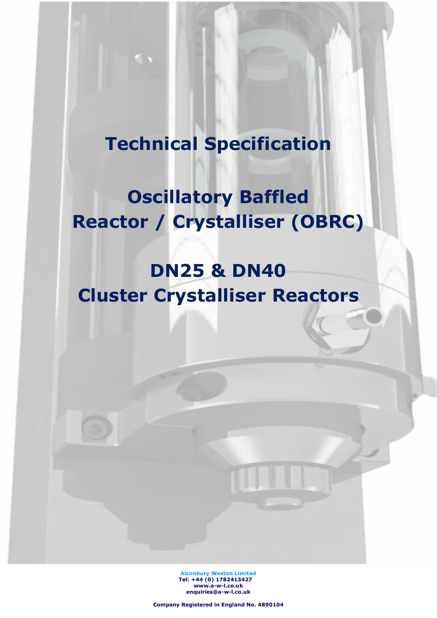## **Technical Specification**

## **Oscillatory Baffled Reactor / Crystalliser (OBRC)**

# **DN25 & DN40 Cluster Crystalliser Reactors**

**Alconbury Weston Limited Tel: +44 (0) 1782413427 [www.a-w-l.co.uk](http://www.a-w-l.co.uk/) enquiries@a-w-l.co.uk**

**Company Registered in England No. 4890104**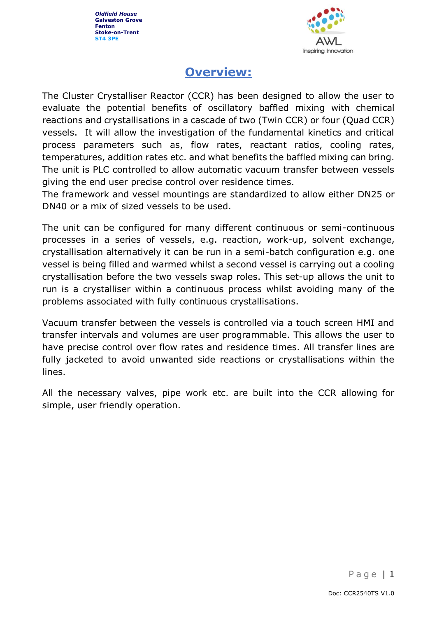

### **Overview:**

The Cluster Crystalliser Reactor (CCR) has been designed to allow the user to evaluate the potential benefits of oscillatory baffled mixing with chemical reactions and crystallisations in a cascade of two (Twin CCR) or four (Quad CCR) vessels. It will allow the investigation of the fundamental kinetics and critical process parameters such as, flow rates, reactant ratios, cooling rates, temperatures, addition rates etc. and what benefits the baffled mixing can bring. The unit is PLC controlled to allow automatic vacuum transfer between vessels giving the end user precise control over residence times.

The framework and vessel mountings are standardized to allow either DN25 or DN40 or a mix of sized vessels to be used.

The unit can be configured for many different continuous or semi-continuous processes in a series of vessels, e.g. reaction, work-up, solvent exchange, crystallisation alternatively it can be run in a semi-batch configuration e.g. one vessel is being filled and warmed whilst a second vessel is carrying out a cooling crystallisation before the two vessels swap roles. This set-up allows the unit to run is a crystalliser within a continuous process whilst avoiding many of the problems associated with fully continuous crystallisations.

Vacuum transfer between the vessels is controlled via a touch screen HMI and transfer intervals and volumes are user programmable. This allows the user to have precise control over flow rates and residence times. All transfer lines are fully jacketed to avoid unwanted side reactions or crystallisations within the lines.

All the necessary valves, pipe work etc. are built into the CCR allowing for simple, user friendly operation.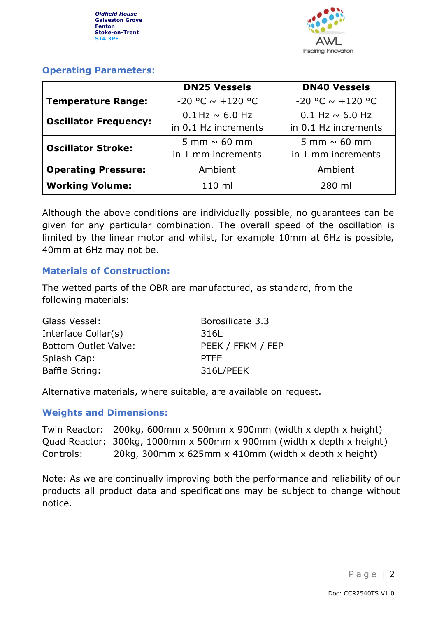

#### **Operating Parameters:**

|                              | <b>DN25 Vessels</b>     | <b>DN40 Vessels</b>     |
|------------------------------|-------------------------|-------------------------|
| <b>Temperature Range:</b>    | $-20$ °C $\sim$ +120 °C | $-20$ °C $\sim$ +120 °C |
| <b>Oscillator Frequency:</b> | $0.1$ Hz $\sim$ 6.0 Hz  | $0.1$ Hz $\sim$ 6.0 Hz  |
|                              | in 0.1 Hz increments    | in 0.1 Hz increments    |
| <b>Oscillator Stroke:</b>    | 5 mm $\sim$ 60 mm       | 5 mm $\sim$ 60 mm       |
|                              | in 1 mm increments      | in 1 mm increments      |
| <b>Operating Pressure:</b>   | Ambient                 | Ambient                 |
| <b>Working Volume:</b>       | 110 ml                  | 280 ml                  |

Although the above conditions are individually possible, no guarantees can be given for any particular combination. The overall speed of the oscillation is limited by the linear motor and whilst, for example 10mm at 6Hz is possible, 40mm at 6Hz may not be.

#### **Materials of Construction:**

The wetted parts of the OBR are manufactured, as standard, from the following materials:

| Borosilicate 3.3  |
|-------------------|
| 316L              |
| PEEK / FFKM / FEP |
| <b>PTFE</b>       |
| 316L/PEEK         |
|                   |

Alternative materials, where suitable, are available on request.

#### **Weights and Dimensions:**

Twin Reactor: 200kg, 600mm x 500mm x 900mm (width x depth x height) Quad Reactor: 300kg, 1000mm x 500mm x 900mm (width x depth x height) Controls: 20kg, 300mm x 625mm x 410mm (width x depth x height)

Note: As we are continually improving both the performance and reliability of our products all product data and specifications may be subject to change without notice.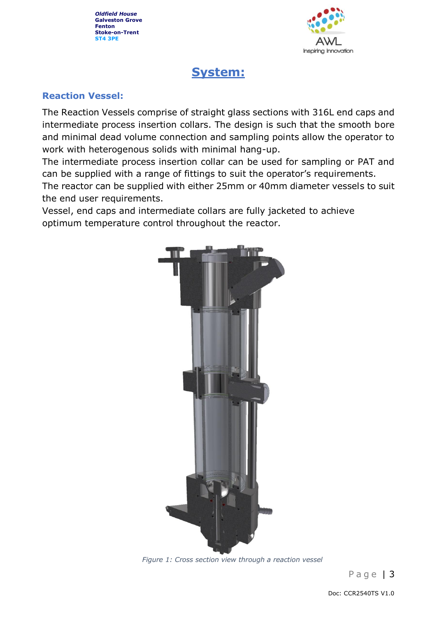

### **System:**

#### **Reaction Vessel:**

The Reaction Vessels comprise of straight glass sections with 316L end caps and intermediate process insertion collars. The design is such that the smooth bore and minimal dead volume connection and sampling points allow the operator to work with heterogenous solids with minimal hang-up.

The intermediate process insertion collar can be used for sampling or PAT and can be supplied with a range of fittings to suit the operator's requirements.

The reactor can be supplied with either 25mm or 40mm diameter vessels to suit the end user requirements.

Vessel, end caps and intermediate collars are fully jacketed to achieve optimum temperature control throughout the reactor.



*Figure 1: Cross section view through a reaction vessel*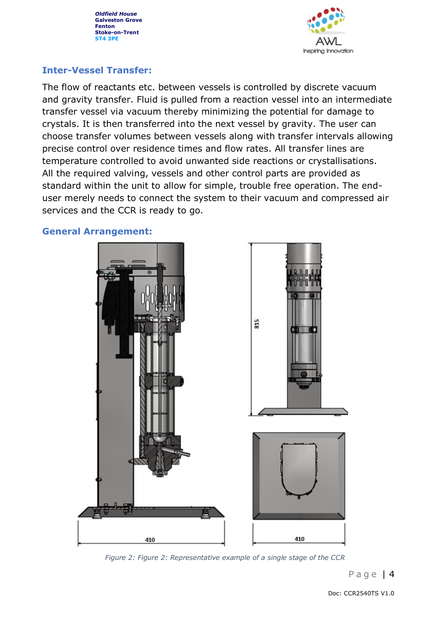

#### **Inter-Vessel Transfer:**

The flow of reactants etc. between vessels is controlled by discrete vacuum and gravity transfer. Fluid is pulled from a reaction vessel into an intermediate transfer vessel via vacuum thereby minimizing the potential for damage to crystals. It is then transferred into the next vessel by gravity. The user can choose transfer volumes between vessels along with transfer intervals allowing precise control over residence times and flow rates. All transfer lines are temperature controlled to avoid unwanted side reactions or crystallisations. All the required valving, vessels and other control parts are provided as standard within the unit to allow for simple, trouble free operation. The enduser merely needs to connect the system to their vacuum and compressed air services and the CCR is ready to go.

#### **General Arrangement:**



*Figure 2: Figure 2: Representative example of a single stage of the CCR*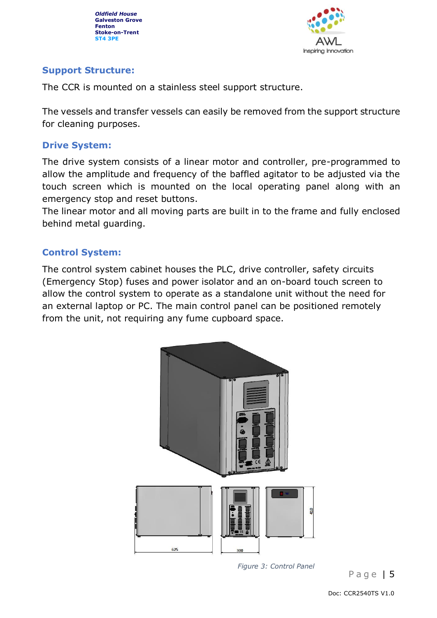

#### **Support Structure:**

The CCR is mounted on a stainless steel support structure.

The vessels and transfer vessels can easily be removed from the support structure for cleaning purposes.

#### **Drive System:**

The drive system consists of a linear motor and controller, pre-programmed to allow the amplitude and frequency of the baffled agitator to be adjusted via the touch screen which is mounted on the local operating panel along with an emergency stop and reset buttons.

The linear motor and all moving parts are built in to the frame and fully enclosed behind metal guarding.

#### **Control System:**

The control system cabinet houses the PLC, drive controller, safety circuits (Emergency Stop) fuses and power isolator and an on-board touch screen to allow the control system to operate as a standalone unit without the need for an external laptop or PC. The main control panel can be positioned remotely from the unit, not requiring any fume cupboard space.



*Figure 3: Control Panel*

Page  $| 5$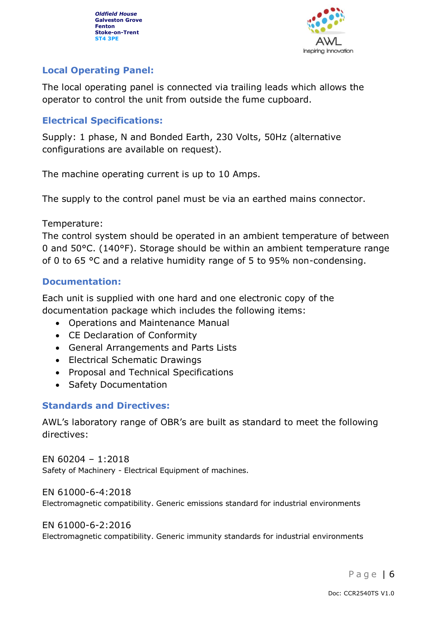

#### **Local Operating Panel:**

The local operating panel is connected via trailing leads which allows the operator to control the unit from outside the fume cupboard.

#### **Electrical Specifications:**

Supply: 1 phase, N and Bonded Earth, 230 Volts, 50Hz (alternative configurations are available on request).

The machine operating current is up to 10 Amps.

The supply to the control panel must be via an earthed mains connector.

Temperature:

The control system should be operated in an ambient temperature of between 0 and 50°C. (140°F). Storage should be within an ambient temperature range of 0 to 65 °C and a relative humidity range of 5 to 95% non-condensing.

#### **Documentation:**

Each unit is supplied with one hard and one electronic copy of the documentation package which includes the following items:

- Operations and Maintenance Manual
- CE Declaration of Conformity
- General Arrangements and Parts Lists
- Electrical Schematic Drawings
- Proposal and Technical Specifications
- Safety Documentation

#### **Standards and Directives:**

AWL's laboratory range of OBR's are built as standard to meet the following directives:

EN 60204 – 1:2018 Safety of Machinery - Electrical Equipment of machines.

EN 61000-6-4:2018 Electromagnetic compatibility. Generic emissions standard for industrial environments

#### EN 61000-6-2:2016

Electromagnetic compatibility. Generic immunity standards for industrial environments

Page  $6$